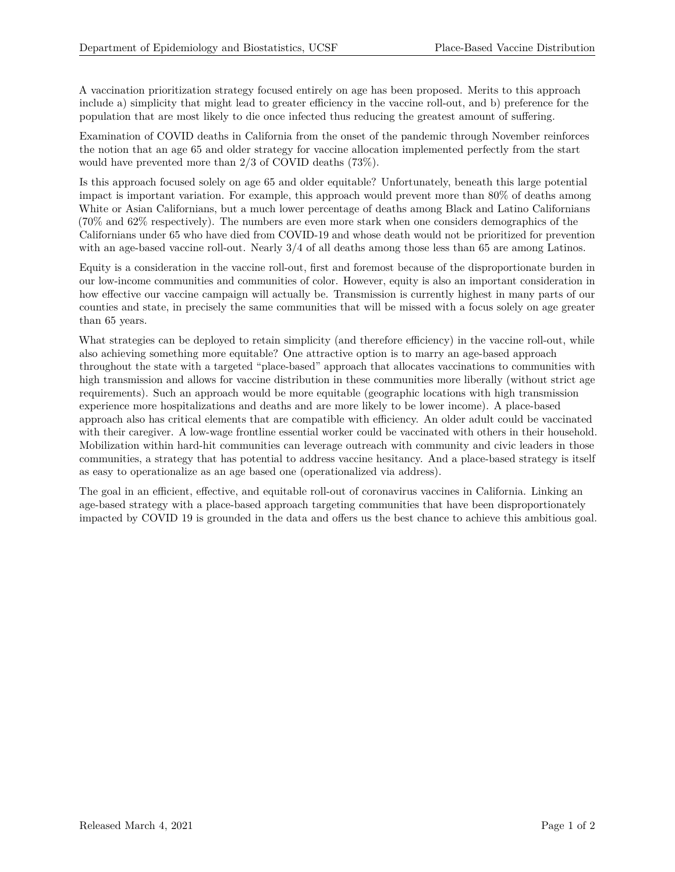A vaccination prioritization strategy focused entirely on age has been proposed. Merits to this approach include a) simplicity that might lead to greater efficiency in the vaccine roll-out, and b) preference for the population that are most likely to die once infected thus reducing the greatest amount of suffering.

Examination of COVID deaths in California from the onset of the pandemic through November reinforces the notion that an age 65 and older strategy for vaccine allocation implemented perfectly from the start would have prevented more than 2/3 of COVID deaths (73%).

Is this approach focused solely on age 65 and older equitable? Unfortunately, beneath this large potential impact is important variation. For example, this approach would prevent more than 80% of deaths among White or Asian Californians, but a much lower percentage of deaths among Black and Latino Californians (70% and 62% respectively). The numbers are even more stark when one considers demographics of the Californians under 65 who have died from COVID-19 and whose death would not be prioritized for prevention with an age-based vaccine roll-out. Nearly 3/4 of all deaths among those less than 65 are among Latinos.

Equity is a consideration in the vaccine roll-out, first and foremost because of the disproportionate burden in our low-income communities and communities of color. However, equity is also an important consideration in how effective our vaccine campaign will actually be. Transmission is currently highest in many parts of our counties and state, in precisely the same communities that will be missed with a focus solely on age greater than 65 years.

What strategies can be deployed to retain simplicity (and therefore efficiency) in the vaccine roll-out, while also achieving something more equitable? One attractive option is to marry an age-based approach throughout the state with a targeted "place-based" approach that allocates vaccinations to communities with high transmission and allows for vaccine distribution in these communities more liberally (without strict age requirements). Such an approach would be more equitable (geographic locations with high transmission experience more hospitalizations and deaths and are more likely to be lower income). A place-based approach also has critical elements that are compatible with efficiency. An older adult could be vaccinated with their caregiver. A low-wage frontline essential worker could be vaccinated with others in their household. Mobilization within hard-hit communities can leverage outreach with community and civic leaders in those communities, a strategy that has potential to address vaccine hesitancy. And a place-based strategy is itself as easy to operationalize as an age based one (operationalized via address).

The goal in an efficient, effective, and equitable roll-out of coronavirus vaccines in California. Linking an age-based strategy with a place-based approach targeting communities that have been disproportionately impacted by COVID 19 is grounded in the data and offers us the best chance to achieve this ambitious goal.